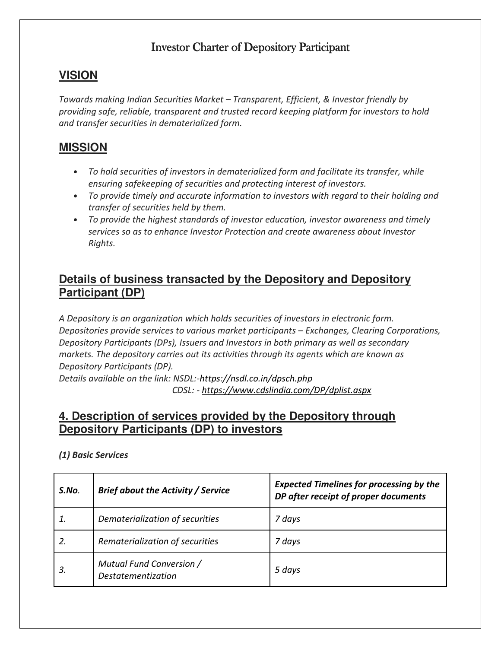### Investor Charter of Depository Participant

## **VISION**

Towards making Indian Securities Market – Transparent, Efficient, & Investor friendly by providing safe, reliable, transparent and trusted record keeping platform for investors to hold and transfer securities in dematerialized form.

## **MISSION**

- To hold securities of investors in dematerialized form and facilitate its transfer, while ensuring safekeeping of securities and protecting interest of investors.
- To provide timely and accurate information to investors with regard to their holding and transfer of securities held by them.
- To provide the highest standards of investor education, investor awareness and timely services so as to enhance Investor Protection and create awareness about Investor Rights.

### **Details of business transacted by the Depository and Depository Participant (DP)**

A Depository is an organization which holds securities of investors in electronic form. Depositories provide services to various market participants – Exchanges, Clearing Corporations, Depository Participants (DPs), Issuers and Investors in both primary as well as secondary markets. The depository carries out its activities through its agents which are known as Depository Participants (DP).

Details available on the link: NSDL:-https://nsdl.co.in/dpsch.php CDSL: - https://www.cdslindia.com/DP/dplist.aspx

### **4. Description of services provided by the Depository through Depository Participants (DP) to investors**

| S.No. | <b>Brief about the Activity / Service</b>             | <b>Expected Timelines for processing by the</b><br>DP after receipt of proper documents |  |
|-------|-------------------------------------------------------|-----------------------------------------------------------------------------------------|--|
|       | Dematerialization of securities                       | 7 days                                                                                  |  |
| 2.    | Rematerialization of securities                       | 7 days                                                                                  |  |
| 3.    | Mutual Fund Conversion /<br><i>Destatementization</i> | 5 days                                                                                  |  |

#### (1) Basic Services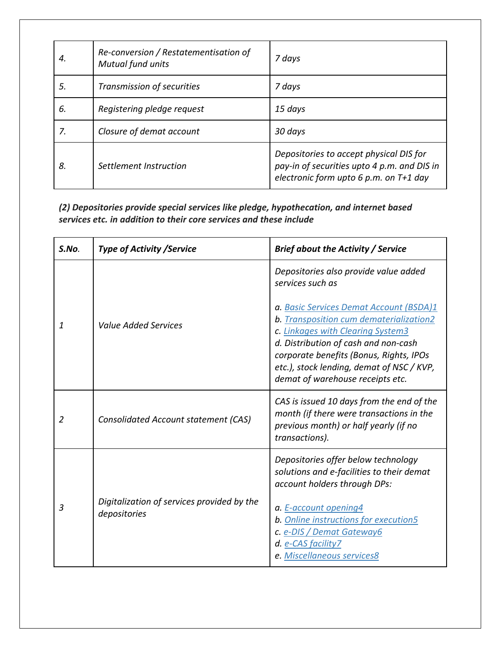| 4. | Re-conversion / Restatementisation of<br>Mutual fund units | 7 days                                                                                                                           |
|----|------------------------------------------------------------|----------------------------------------------------------------------------------------------------------------------------------|
| 5. | Transmission of securities                                 | 7 days                                                                                                                           |
| 6. | Registering pledge request                                 | 15 days                                                                                                                          |
| 7. | Closure of demat account                                   | 30 days                                                                                                                          |
| 8. | Settlement Instruction                                     | Depositories to accept physical DIS for<br>pay-in of securities upto 4 p.m. and DIS in<br>electronic form upto 6 p.m. on T+1 day |

(2) Depositories provide special services like pledge, hypothecation, and internet based services etc. in addition to their core services and these include

| S.No.          | <b>Type of Activity / Service</b>                          | <b>Brief about the Activity / Service</b>                                                                                                                                                                                                                                                                                                                |  |
|----------------|------------------------------------------------------------|----------------------------------------------------------------------------------------------------------------------------------------------------------------------------------------------------------------------------------------------------------------------------------------------------------------------------------------------------------|--|
| $\mathbf{1}$   | Value Added Services                                       | Depositories also provide value added<br>services such as<br>a. Basic Services Demat Account (BSDA)1<br>b. Transposition cum dematerialization2<br>c. Linkages with Clearing System3<br>d. Distribution of cash and non-cash<br>corporate benefits (Bonus, Rights, IPOs<br>etc.), stock lending, demat of NSC / KVP,<br>demat of warehouse receipts etc. |  |
| 2              | <b>Consolidated Account statement (CAS)</b>                | CAS is issued 10 days from the end of the<br>month (if there were transactions in the<br>previous month) or half yearly (if no<br>transactions).                                                                                                                                                                                                         |  |
| $\overline{3}$ | Digitalization of services provided by the<br>depositories | Depositories offer below technology<br>solutions and e-facilities to their demat<br>account holders through DPs:<br>a. E-account opening4<br>b. Online instructions for execution5<br>c. e-DIS / Demat Gateway6<br>d. e-CAS facility7<br>e. Miscellaneous services8                                                                                      |  |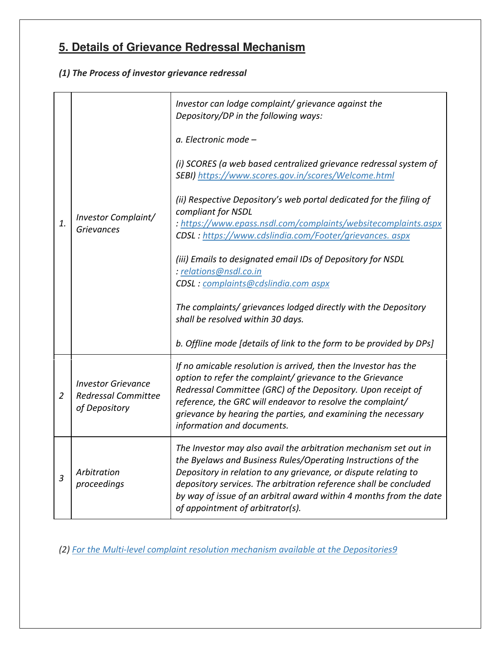## **5. Details of Grievance Redressal Mechanism**

#### (1) The Process of investor grievance redressal

|                |                                                                          | Investor can lodge complaint/ grievance against the<br>Depository/DP in the following ways:                                                                                                                                                                                                                                                                                        |  |  |  |
|----------------|--------------------------------------------------------------------------|------------------------------------------------------------------------------------------------------------------------------------------------------------------------------------------------------------------------------------------------------------------------------------------------------------------------------------------------------------------------------------|--|--|--|
|                | Investor Complaint/<br><b>Grievances</b>                                 | a. Electronic mode -                                                                                                                                                                                                                                                                                                                                                               |  |  |  |
|                |                                                                          | (i) SCORES (a web based centralized grievance redressal system of<br>SEBI) https://www.scores.gov.in/scores/Welcome.html                                                                                                                                                                                                                                                           |  |  |  |
| 1.             |                                                                          | (ii) Respective Depository's web portal dedicated for the filing of<br>compliant for NSDL<br>: https://www.epass.nsdl.com/complaints/websitecomplaints.aspx                                                                                                                                                                                                                        |  |  |  |
|                |                                                                          | CDSL: https://www.cdslindia.com/Footer/grievances. aspx                                                                                                                                                                                                                                                                                                                            |  |  |  |
|                |                                                                          | (iii) Emails to designated email IDs of Depository for NSDL<br>: relations@nsdl.co.in<br>CDSL: complaints@cdslindia.com aspx                                                                                                                                                                                                                                                       |  |  |  |
|                |                                                                          | The complaints/ grievances lodged directly with the Depository<br>shall be resolved within 30 days.                                                                                                                                                                                                                                                                                |  |  |  |
|                |                                                                          | b. Offline mode [details of link to the form to be provided by DPs]                                                                                                                                                                                                                                                                                                                |  |  |  |
| $\overline{2}$ | <b>Investor Grievance</b><br><b>Redressal Committee</b><br>of Depository | If no amicable resolution is arrived, then the Investor has the<br>option to refer the complaint/ grievance to the Grievance<br>Redressal Committee (GRC) of the Depository. Upon receipt of<br>reference, the GRC will endeavor to resolve the complaint/<br>grievance by hearing the parties, and examining the necessary<br>information and documents.                          |  |  |  |
| $\overline{3}$ | Arbitration<br>proceedings                                               | The Investor may also avail the arbitration mechanism set out in<br>the Byelaws and Business Rules/Operating Instructions of the<br>Depository in relation to any grievance, or dispute relating to<br>depository services. The arbitration reference shall be concluded<br>by way of issue of an arbitral award within 4 months from the date<br>of appointment of arbitrator(s). |  |  |  |

(2) For the Multi-level complaint resolution mechanism available at the Depositories9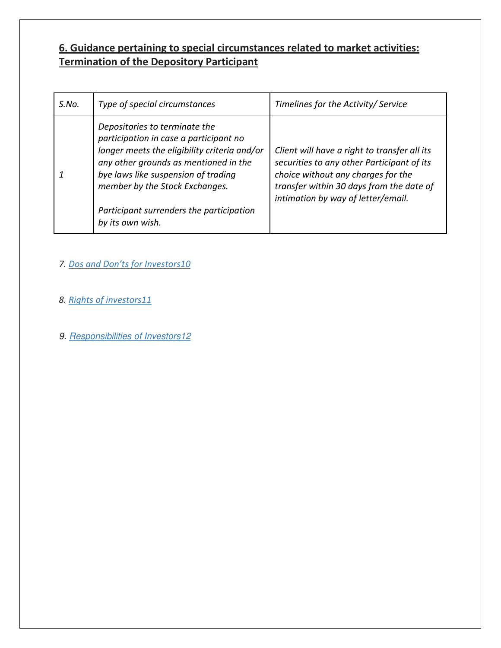### 6. Guidance pertaining to special circumstances related to market activities: Termination of the Depository Participant

| S.No. | Type of special circumstances                                                                                                                                                                                                                                                                             | Timelines for the Activity/ Service                                                                                                                                                                                |
|-------|-----------------------------------------------------------------------------------------------------------------------------------------------------------------------------------------------------------------------------------------------------------------------------------------------------------|--------------------------------------------------------------------------------------------------------------------------------------------------------------------------------------------------------------------|
|       | Depositories to terminate the<br>participation in case a participant no<br>longer meets the eligibility criteria and/or<br>any other grounds as mentioned in the<br>bye laws like suspension of trading<br>member by the Stock Exchanges.<br>Participant surrenders the participation<br>by its own wish. | Client will have a right to transfer all its<br>securities to any other Participant of its<br>choice without any charges for the<br>transfer within 30 days from the date of<br>intimation by way of letter/email. |

#### 7. Dos and Don'ts for Investors10

- 8. Rights of investors11
- 9. Responsibilities of Investors12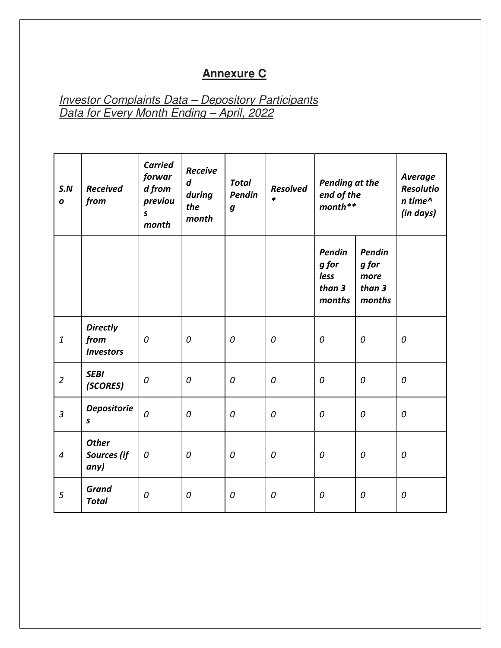## **Annexure C**

**Investor Complaints Data – Depository Participants** Data for Every Month Ending – April, 2022

| S.N<br>$\boldsymbol{o}$ | <b>Received</b><br>from                     | <b>Carried</b><br>forwar<br>d from<br>previou<br>$\mathsf{s}$<br>month | <b>Receive</b><br>$\boldsymbol{d}$<br>during<br>the<br>month | <b>Total</b><br>Pendin<br>$\pmb{g}$ | <b>Resolved</b><br>$\ast$ | <b>Pending at the</b><br>end of the<br>$month$ ** |                                             | <b>Average</b><br><b>Resolutio</b><br>n time^<br>(in days) |
|-------------------------|---------------------------------------------|------------------------------------------------------------------------|--------------------------------------------------------------|-------------------------------------|---------------------------|---------------------------------------------------|---------------------------------------------|------------------------------------------------------------|
|                         |                                             |                                                                        |                                                              |                                     |                           | Pendin<br>g for<br>less<br>than 3<br>months       | Pendin<br>g for<br>more<br>than 3<br>months |                                                            |
| $\mathbf{1}$            | <b>Directly</b><br>from<br><b>Investors</b> | 0                                                                      | 0                                                            | 0                                   | 0                         | 0                                                 | $\boldsymbol{0}$                            | 0                                                          |
| $\overline{2}$          | <b>SEBI</b><br>(SCORES)                     | 0                                                                      | $\boldsymbol{0}$                                             | 0                                   | 0                         | 0                                                 | 0                                           | 0                                                          |
| $\overline{3}$          | <b>Depositorie</b><br>$\pmb{\mathsf{s}}$    | 0                                                                      | 0                                                            | 0                                   | 0                         | 0                                                 | 0                                           | 0                                                          |
| $\overline{4}$          | <b>Other</b><br><b>Sources</b> (if<br>any)  | 0                                                                      | 0                                                            | 0                                   | 0                         | 0                                                 | 0                                           | 0                                                          |
| 5                       | <b>Grand</b><br><b>Total</b>                | 0                                                                      | 0                                                            | 0                                   | 0                         | 0                                                 | 0                                           | 0                                                          |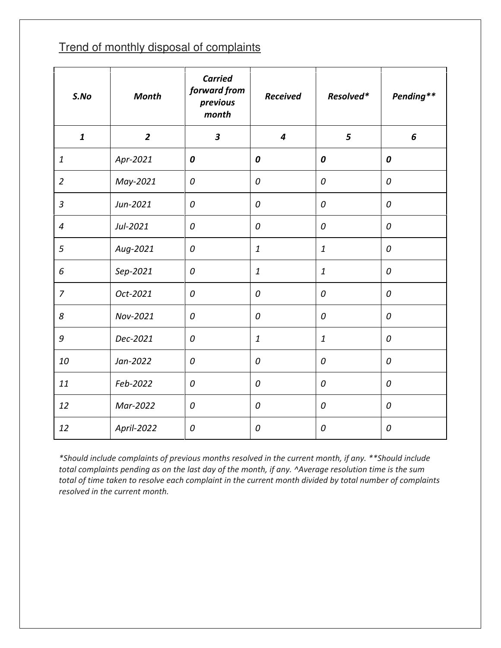## Trend of monthly disposal of complaints

| S.No             | <b>Month</b>   | <b>Carried</b><br>forward from<br>previous<br>month | <b>Received</b> | Resolved*    | Pending**        |
|------------------|----------------|-----------------------------------------------------|-----------------|--------------|------------------|
| $\boldsymbol{1}$ | $\overline{2}$ | $\overline{\mathbf{3}}$                             | $\overline{4}$  | 5            | 6                |
| $\boldsymbol{1}$ | Apr-2021       | 0                                                   | 0               | 0            | 0                |
| $\overline{2}$   | May-2021       | 0                                                   | 0               | 0            | $\boldsymbol{0}$ |
| $\mathfrak{Z}$   | Jun-2021       | 0                                                   | 0               | 0            | 0                |
| $\overline{4}$   | Jul-2021       | 0                                                   | 0               | 0            | 0                |
| 5                | Aug-2021       | ${\cal O}$                                          | $\mathbf{1}$    | $\mathbf{1}$ | 0                |
| 6                | Sep-2021       | 0                                                   | $\mathbf{1}$    | $\mathbf{1}$ | 0                |
| $\overline{7}$   | Oct-2021       | 0                                                   | 0               | 0            | 0                |
| 8                | Nov-2021       | 0                                                   | 0               | 0            | $\mathcal{O}$    |
| $\mathcal G$     | Dec-2021       | 0                                                   | $\mathbf{1}$    | $\mathbf{1}$ | 0                |
| 10               | Jan-2022       | 0                                                   | 0               | 0            | $\boldsymbol{0}$ |
| 11               | Feb-2022       | 0                                                   | 0               | 0            | 0                |
| 12               | Mar-2022       | 0                                                   | 0               | 0            | 0                |
| 12               | April-2022     | 0                                                   | 0               | 0            | 0                |

\*Should include complaints of previous months resolved in the current month, if any. \*\*Should include total complaints pending as on the last day of the month, if any. ^Average resolution time is the sum total of time taken to resolve each complaint in the current month divided by total number of complaints resolved in the current month.